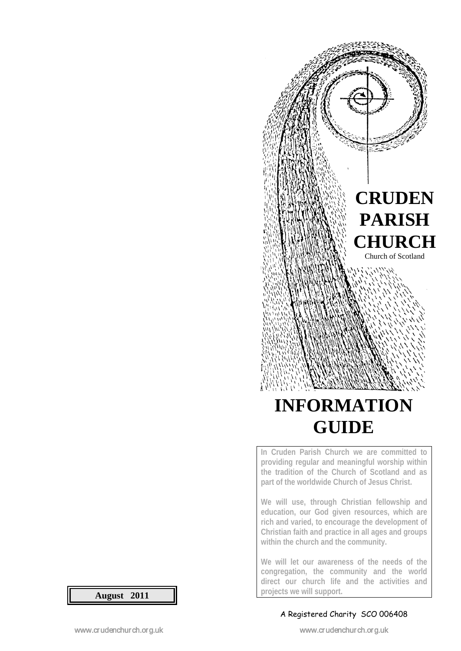

# **INFORMATION GUIDE**

**In Cruden Parish Church we are committed to providing regular and meaningful worship within the tradition of the Church of Scotland and as part of the worldwide Church of Jesus Christ.** 

**We will use, through Christian fellowship and education, our God given resources, which are rich and varied, to encourage the development of Christian faith and practice in all ages and groups within the church and the community.**

**We will let our awareness of the needs of the congregation, the community and the world direct our church life and the activities and projects we will support.**

#### A Registered Charity SCO 006408

**August 2011**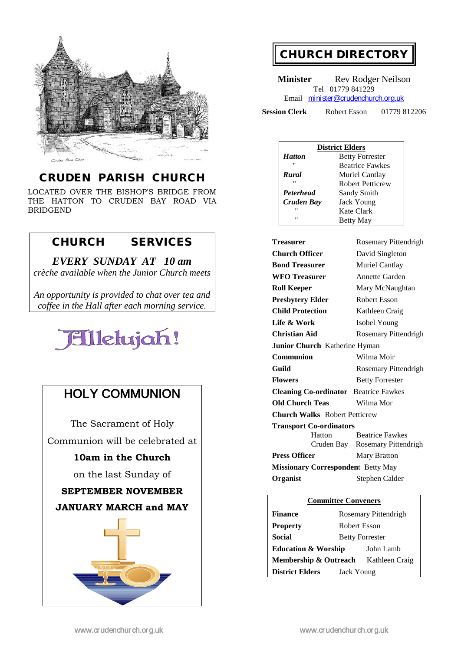

#### CRUDEN PARISH CHURCH

LOCATED OVER THE BISHOP'S BRIDGE FROM THE HATTON TO CRUDEN BAY ROAD VIA BRIDGEND

#### CHURCH SERVICES

*EVERY SUNDAY AT 10 am crèche available when the Junior Church meets*

*An opportunity is provided to chat over tea and coffee in the Hall after each morning service.*



## HOLY COMMUNION

The Sacrament of Holy Communion will be celebrated at

#### **10am in the Church**

on the last Sunday of

#### **SEPTEMBER NOVEMBER**

#### **JANUARY MARCH and MAY**



## CHURCH DIRECTORY

**Minister** Rev Rodger Neilson Tel 01779 841229 Email [minister@crudenchurch.org.uk](mailto:minister@crudenchurch.org.uk) 

**Session Clerk** Robert Esson 01779 812206

| <b>District Elders</b> |                         |  |
|------------------------|-------------------------|--|
| <b>Hatton</b>          | <b>Betty Forrester</b>  |  |
| "                      | <b>Beatrice Fawkes</b>  |  |
| Rural                  | Muriel Cantlay          |  |
| "                      | <b>Robert Petticrew</b> |  |
| <b>Peterhead</b>       | Sandy Smith             |  |
| Cruden Bay             | <b>Jack Young</b>       |  |
| "                      | Kate Clark              |  |
| "                      | <b>Betty May</b>        |  |

| <b>Treasurer</b>                             | Rosemary Pittendrigh            |  |  |
|----------------------------------------------|---------------------------------|--|--|
| <b>Church Officer</b>                        | David Singleton                 |  |  |
| <b>Bond Treasurer</b>                        | Muriel Cantlay                  |  |  |
| <b>WFO</b> Treasurer                         | Annette Garden                  |  |  |
| <b>Roll Keeper</b>                           | Mary McNaughtan                 |  |  |
| <b>Presbytery Elder</b>                      | Robert Esson                    |  |  |
| <b>Child Protection</b>                      | Kathleen Craig                  |  |  |
| Life & Work                                  | Isobel Young                    |  |  |
| Christian Aid                                | Rosemary Pittendrigh            |  |  |
| Junior Church Katherine Hyman                |                                 |  |  |
| Communion                                    | Wilma Moir                      |  |  |
| Guild                                        | Rosemary Pittendrigh            |  |  |
| <b>Flowers</b>                               | <b>Betty Forrester</b>          |  |  |
| <b>Cleaning Co-ordinator</b> Beatrice Fawkes |                                 |  |  |
| <b>Old Church Teas</b>                       | Wilma Mor                       |  |  |
| <b>Church Walks</b> Robert Petticrew         |                                 |  |  |
| <b>Transport Co-ordinators</b>               |                                 |  |  |
| Hatton                                       | <b>Beatrice Fawkes</b>          |  |  |
|                                              | Cruden Bay Rosemary Pittendrigh |  |  |
| <b>Press Officer</b>                         | <b>Mary Bratton</b>             |  |  |
| <b>Missionary Correspondent Betty May</b>    |                                 |  |  |
| <b>Organist</b><br>Stephen Calder            |                                 |  |  |

| <b>Committee Conveners</b>     |                        |                |  |
|--------------------------------|------------------------|----------------|--|
| <b>Finance</b>                 | Rosemary Pittendrigh   |                |  |
| <b>Property</b>                | Robert Esson           |                |  |
| Social                         | <b>Betty Forrester</b> |                |  |
| <b>Education &amp; Worship</b> |                        | John Lamb      |  |
| Membership & Outreach          |                        | Kathleen Craig |  |
| <b>District Elders</b>         | Jack Young             |                |  |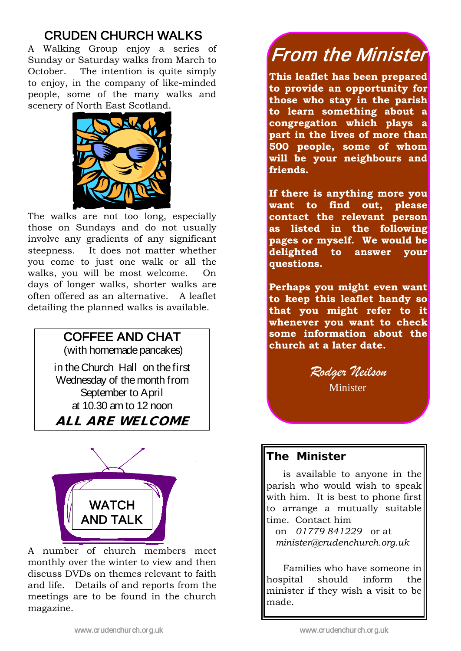## CRUDEN CHURCH WALKS

A Walking Group enjoy a series of Sunday or Saturday walks from March to October. The intention is quite simply to enjoy, in the company of like-minded people, some of the many walks and scenery of North East Scotland.



The walks are not too long, especially those on Sundays and do not usually involve any gradients of any significant steepness. It does not matter whether you come to just one walk or all the walks, you will be most welcome. On days of longer walks, shorter walks are often offered as an alternative. A leaflet detailing the planned walks is available.

# COFFEE AND CHAT

(with homemade pancakes)

in the Church Hall on the first Wednesday of the month from September to April at 10.30 am to 12 noon

ALL ARE WELCOME



A number of church members meet monthly over the winter to view and then discuss DVDs on themes relevant to faith and life. Details of and reports from the meetings are to be found in the church magazine.

# From the Minister

**This leaflet has been prepared to provide an opportunity for those who stay in the parish to learn something about a congregation which plays a part in the lives of more than 500 people, some of whom will be your neighbours and friends.**

**If there is anything more you want to find out, please contact the relevant person as listed in the following pages or myself. We would be delighted to answer your questions.**

**Perhaps you might even want to keep this leaflet handy so that you might refer to it whenever you want to check some information about the church at a later date.**

*Rodger Neilson*

Minister

## The Minister

is available to anyone in the parish who would wish to speak with him. It is best to phone first to arrange a mutually suitable time. Contact him

 on *01779 841229* or at *minister@crudenchurch.org.uk*

Families who have someone in hospital should inform the minister if they wish a visit to be made.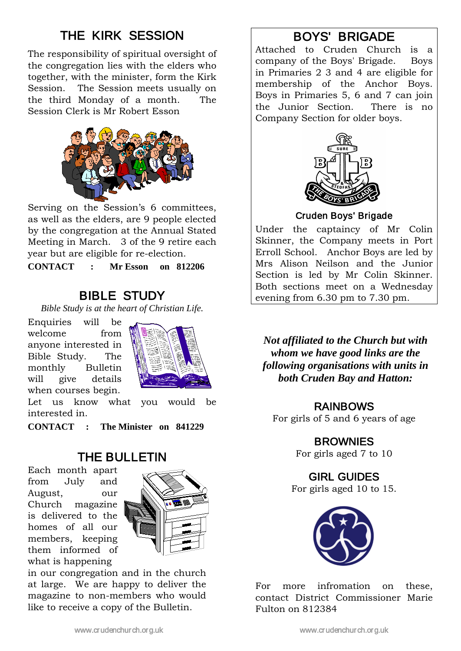# THE KIRK SESSION

The responsibility of spiritual oversight of the congregation lies with the elders who together, with the minister, form the Kirk Session. The Session meets usually on the third Monday of a month. The Session Clerk is Mr Robert Esson



Serving on the Session's 6 committees, as well as the elders, are 9 people elected by the congregation at the Annual Stated Meeting in March. 3 of the 9 retire each year but are eligible for re-election.

**CONTACT : Mr Esson on 812206**

## BIBLE STUDY

*Bible Study is at the heart of Christian Life.*

Enquiries will be welcome from anyone interested in Bible Study. The monthly Bulletin will give details when courses begin.



Let us know what you would be interested in.

**CONTACT : The Minister on 841229**

## THE BULLETIN

Each month apart from July and August, our Church magazine is delivered to the homes of all our members, keeping them informed of what is happening



in our congregation and in the church at large. We are happy to deliver the magazine to non-members who would like to receive a copy of the Bulletin.

## BOYS' BRIGADE

Attached to Cruden Church is a company of the Boys' Brigade. Boys in Primaries 2 3 and 4 are eligible for membership of the Anchor Boys. Boys in Primaries 5, 6 and 7 can join the Junior Section. There is no Company Section for older boys.



#### Cruden Boys' Brigade

Under the captaincy of Mr Colin Skinner, the Company meets in Port Erroll School. Anchor Boys are led by Mrs Alison Neilson and the Junior Section is led by Mr Colin Skinner. Both sections meet on a Wednesday evening from 6.30 pm to 7.30 pm.

 *both Cruden Bay and Hatton:Not affiliated to the Church but with whom we have good links are the following organisations with units in* 

#### RAINBOWS

For girls of 5 and 6 years of age

### **BROWNIES**

For girls aged 7 to 10

### GIRL GUIDES

For girls aged 10 to 15.



For more infromation on these, contact District Commissioner Marie Fulton on 812384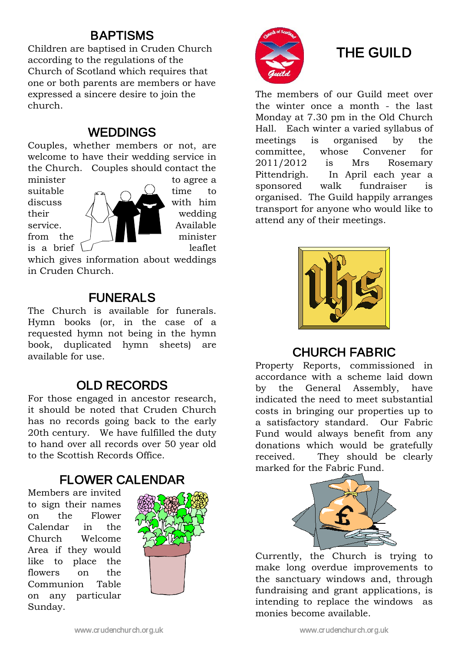## BAPTISMS

Children are baptised in Cruden Church according to the regulations of the Church of Scotland which requires that one or both parents are members or have expressed a sincere desire to join the church.

## WEDDINGS

Couples, whether members or not, are welcome to have their wedding service in the Church. Couples should contact the



minister to agree a

which gives information about weddings in Cruden Church.

## FUNERALS

The Church is available for funerals. Hymn books (or, in the case of a requested hymn not being in the hymn book, duplicated hymn sheets) are available for use.

## OLD RECORDS

For those engaged in ancestor research, it should be noted that Cruden Church has no records going back to the early 20th century. We have fulfilled the duty to hand over all records over 50 year old to the Scottish Records Office.

## FLOWER CALENDAR

Members are invited to sign their names on the Flower Calendar in the Church Welcome Area if they would like to place the flowers on the Communion Table on any particular Sunday.





# THE GUILD

The members of our Guild meet over the winter once a month - the last Monday at 7.30 pm in the Old Church Hall. Each winter a varied syllabus of meetings is organised by the committee, whose Convener for 2011/2012 is Mrs Rosemary Pittendrigh. In April each year a sponsored walk fundraiser is organised. The Guild happily arranges transport for anyone who would like to attend any of their meetings.



## CHURCH FABRIC

Property Reports, commissioned in accordance with a scheme laid down by the General Assembly, have indicated the need to meet substantial costs in bringing our properties up to a satisfactory standard. Our Fabric Fund would always benefit from any donations which would be gratefully received. They should be clearly marked for the Fabric Fund.



Currently, the Church is trying to make long overdue improvements to the sanctuary windows and, through fundraising and grant applications, is intending to replace the windows as monies become available.